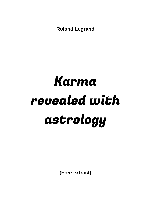**Roland Legrand**

# Karma revealed with astrology

**(Free extract)**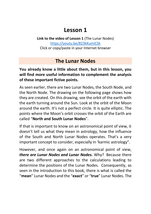## **Lesson 1**

**Link to the video of Lesson 1** (The Lunar Nodes) <https://youtu.be/823kKumiCSk> Click or copy/paste in your Internet browser

## **The Lunar Nodes**

## **You already know a little about them, but in this lesson, you will find more useful information to complement the analysis of these important fictive points.**

As seen earlier, there are two Lunar Nodes, the South Node, and the North Node. The drawing on the following page shows how they are created. On this drawing, see the orbit of the earth with the earth turning around the Sun. Look at the orbit of the Moon around the earth. It's not a perfect circle. It is quite elliptic. The points where the Moon's orbit crosses the orbit of the Earth are called "**North and South Lunar Nodes**".

If that is important to know on an astronomical point of view, it doesn't tell us what they mean in astrology, how the influence of the South and North Lunar Nodes operates. That's a very important concept to consider, especially in 'karmic astrology".

However, and once again on an astronomical point of view, *there are Lunar Nodes and Lunar Nodes.* Why? Because there are two different approaches to the calculations leading to determine the positions of the Lunar Nodes. Consequently, as seen in the introduction to this book, there is what is called the "**mean**" Lunar Nodes and the "**exact**" or "**true**" Lunar Nodes. The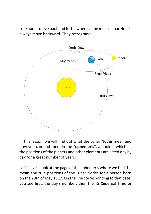true nodes move back and forth, whereas the mean Lunar Nodes always move backward. They retrograde.



In this lesson, we will find out what the Lunar Nodes mean and how you can find them in the "**ephemeris**", a book in which all the positions of the planets and other elements are listed day by day for a great number of years.

Let's have a look at the page of the ephemeris where we find the mean and true positions of the Lunar Nodes for a person born on the 29th of May 1917. On the line corresponding to that date, you see first, the day's number, then the TS (Sidereal Time or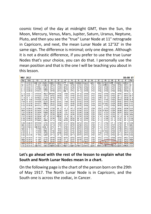cosmic time) of the day at midnight GMT, then the Sun, the Moon, Mercury, Venus, Mars, Jupiter, Saturn, Uranus, Neptune, Pluto, and then you see the "true" Lunar Node at 11° retrograde in Capricorn, and next, the mean Lunar Node at 12°32' in the same sign. The difference is minimal; only one degree. Although it is not a drastic difference, if you prefer to use the true Lunar Nodes that's your choice, you can do that. I personally use the mean position and that is the one I will be teaching you about in this lesson.

| <b>MAY</b>                                                               | 1917                                                                                           |                                                                                                      |                                                                                         |                                                                              |                                                                       |                                                                             |                                                                                  |                                                                             |                                                             |                                                      |                                                                                                                            |                                                              |                                                                                        |                                                                                    | 00:00 UT                                                                  |                                                                                     |
|--------------------------------------------------------------------------|------------------------------------------------------------------------------------------------|------------------------------------------------------------------------------------------------------|-----------------------------------------------------------------------------------------|------------------------------------------------------------------------------|-----------------------------------------------------------------------|-----------------------------------------------------------------------------|----------------------------------------------------------------------------------|-----------------------------------------------------------------------------|-------------------------------------------------------------|------------------------------------------------------|----------------------------------------------------------------------------------------------------------------------------|--------------------------------------------------------------|----------------------------------------------------------------------------------------|------------------------------------------------------------------------------------|---------------------------------------------------------------------------|-------------------------------------------------------------------------------------|
| Day                                                                      | Sid.t                                                                                          | $\odot$                                                                                              | D                                                                                       | ö                                                                            | Q                                                                     | ď                                                                           | 24                                                                               | ħ                                                                           | ਮ੍ਰ                                                         | 升                                                    | в                                                                                                                          | Ω                                                            | Ω                                                                                      |                                                                                    | š                                                                         | Day                                                                                 |
| т<br>W<br>$\overline{2}$<br>3<br>т                                       | 14 33 24<br>14 37 21<br>144117                                                                 | 108 2'40<br>11°<br>0'51<br>11°59'01                                                                  | 298221<br>$11$ m $18$<br>23°25                                                          | 28832<br>28°54<br>29°11                                                      | 11815<br>12°29<br>13°43                                               | 27 <sup>2</sup><br>3<br>27°48<br>28°33                                      | 16814<br>16°28<br>16°42                                                          | 242648<br>24°52<br>24°56                                                    | 238824<br>23°25<br>23°26                                    | 2011<br>2°11<br>2°12                                 | 25642<br>2°43<br>2°44                                                                                                      | 12°R59<br>123555<br>$12^{\circ}48$                           | 14권<br>13°58<br>13°55                                                                  | 198221<br>19°28<br>19°35                                                           | 28H18<br>28°21<br>28°24                                                   | T <sub>1</sub><br>W <sub>2</sub><br>T <sub>3</sub>                                  |
| F<br>S<br>5                                                              | 14 45 14<br>14 49 10                                                                           | 12°57'09<br>13°55'15                                                                                 | 5446<br>18°23                                                                           | 29°23<br>29°29                                                               | 14°57<br>16°11                                                        | 29°18<br>0년 3                                                               | 16°57<br>17°11                                                                   | $25^\circ$ 0<br>25°4                                                        | 23°28<br>23°29                                              | 2°12<br>2°13                                         | 2°45<br>2°46                                                                                                               | 12°40<br>12°30                                               | 13°51<br>13°48                                                                         | 19°41<br>19°48                                                                     | 28°27<br>28°30                                                            | F<br>$\overline{4}$<br>S <sub>5</sub>                                               |
| S<br>M<br>т<br>8                                                         | 14 53<br>$\overline{7}$<br>14 57<br>3<br>15<br>$\bf{0}$                                        | 14°53'19<br>15°51'22<br>16°49'23                                                                     | $1$ m <sub>-17</sub><br>14°27<br>27°54                                                  | 29°R29<br>29°25<br>29°16                                                     | 17°25<br>18°39<br>19°53                                               | 0°48<br>1°33<br>2°18                                                        | 17°25<br>17°39<br>$17^{\circ}54$                                                 | $25^{\circ}$<br>8<br>25°12<br>25°17                                         | 23°30<br>23°31<br>23°32                                     | 2°14<br>2°15<br>2°16                                 | 2°47<br>2°48<br>2°49                                                                                                       | 12°20<br>12°10<br>$12^{\circ}$ 2                             | 13°45<br>13°42<br>13°39                                                                | 19°55<br>$20^{\circ}$<br>$\mathbf{1}$<br>$20^{\circ}$ 8                            | 28°32<br>28°35<br>28°38                                                   | S <sub>6</sub><br>M 7<br>T <sub>8</sub>                                             |
| W 9<br>T <sub>10</sub><br>F 11<br>S 12                                   | 15<br>4 5 6<br>15<br>853<br>15 12 50<br>15 16 46                                               | 17°47'22<br>18°45'20<br>19°43'17<br>20°41'12                                                         | $11x^{733}$<br>25°22<br>9819<br>23°22                                                   | $29^\circ$ 2<br>28°44<br>28°22<br>27°57                                      | $21^{\circ}$ 7<br>22°21<br>23°35<br>24°49                             | 3°3<br>3°48<br>4°33<br>5°17                                                 | $18^\circ$ 8<br>18°22<br>18°36<br>18°51                                          | 25°21<br>25°25<br>25°30<br>25°35                                            | 23°33<br>23°34<br>23°35<br>23°36                            | 2°16<br>2°17<br>2°18<br>2°19                         | 2°51<br>2°52<br>2°53<br>2°54                                                                                               | 11°56<br>11°53<br>11°D52<br>11°52                            | 13°36<br>13°32<br>13°29<br>13°26                                                       | 20°15<br>20°21<br>20°28<br>20°35                                                   | 28°40<br>28°43<br>28°45<br>28°48                                          | W 9<br>T <sub>10</sub><br>F11<br>S <sub>12</sub>                                    |
| S 13<br>M14<br>T <sub>15</sub><br>W16<br>T <sub>17</sub><br>F 18<br>S 19 | 15 20 43<br>15 24 39<br>15 28 36<br>15 32 32<br>15 36 29<br>15 40 25<br>15 44 22               | 21°39'06<br>22°36'59<br>23°34'50<br>24°32'41<br>25°30'30<br>26°28'18<br>27°26'05                     | 7 <sub>8</sub> 29<br>21°38<br>5 <sup>3</sup> 48<br>19°57<br>4Y4<br>$18^\circ$ 5<br>1856 | 27°29<br>26°58<br>26°25<br>25°50<br>25°15<br>24°40<br>$24^{\circ}$ 6         | $26^{\circ}$ 3<br>27°16<br>28°30<br>29°44<br>$0$ II58<br>2°12<br>3°26 | $6^\circ$<br>$\overline{2}$<br>6°47<br>7°31<br>8°16<br>9°0<br>9°45<br>10°29 | 19°<br>5<br>19°19<br>19°33<br>19°48<br>$20^{\circ}$ 2<br>20°16<br>20°30          | 25°39<br>25°44<br>25°49<br>25°54<br>25°59<br>$26^\circ$ 4<br>$26^{\circ}$ 9 | 23°37<br>23°37<br>23°38<br>23°39<br>23°39<br>23°40<br>23°41 | 2°20<br>2°21<br>2°22<br>2°23<br>2°24<br>2°25<br>2°26 | 2°55<br>2°56<br>2°57<br>2°59<br>3°0<br>$3^\circ$<br>$3^\circ$<br>$\overline{2}$                                            | 11°53<br>11°R54<br>11°53<br>11°51<br>11°46<br>11°40<br>11°33 | 13°23<br>13°20<br>13°16<br>13°13<br>13°10<br>$13^{\circ}$ 7<br>$13^{\circ}$ 4          | $20^{\circ}41$<br>20°48<br>20°55<br>$21^\circ$ 1<br>$21^\circ$ 8<br>21°15<br>21°21 | 28°50<br>28°53<br>28°55<br>28°58<br>29°0<br>29°<br>$\overline{2}$<br>29°4 | S <sub>13</sub><br>M14<br>T <sub>15</sub><br>W16<br>T17<br>F18<br>S <sub>19</sub>   |
| S 20<br>M21<br>T <sub>22</sub><br>W23<br>T <sub>24</sub><br>F 25<br>S 26 | 15 48 19<br>15 52 15<br>15 56 12<br>8<br>$\bf{0}$<br>16<br>5<br>4<br>16<br>8<br>16<br>16 11 58 | 28°23'50<br>29°21'35<br>$0$ II19'18<br>1°17'00<br>$2^{\circ}14'40$<br>3°12'19<br>4 <sup>°</sup> 9'56 | 15°35<br>28°58<br>$12\text{II}$ 4<br>24°51<br>79321<br>19°36<br>15239                   | 23°32<br>23°0<br>22°31<br>$22^{\circ}$ 4<br>21°40<br>21°19<br>$21^{\circ}$ 2 | 4°39<br>5°53<br>7°7<br>8°21<br>9°35<br>10°48<br>$12^{\circ}$ 2        | 11°13<br>11°57<br>$12^{\circ}42$<br>13°26<br>14°10<br>14°54<br>15°38        | $20^{\circ}44$<br>20°59<br>21°13<br>21°27<br>21°41<br>21°55<br>$22^{\circ}$<br>9 | 26°14<br>26°20<br>26°25<br>26°31<br>26°36<br>26°42<br>26°47                 | 23°41<br>23°41<br>23°42<br>23°42<br>23°42<br>23°43<br>23°43 | 2°27<br>2°29<br>2°30<br>2°31<br>2°32<br>2°34<br>2°35 | 3 <sup>o</sup><br>3<br>$3^\circ$<br>5<br>3 <sup>o</sup><br>6<br>3 <sup>o</sup><br>7<br>3 <sup>o</sup><br>8<br>3°10<br>3°11 | 11°26<br>11°19<br>11°14<br>11°11<br>11°D10<br>11°10<br>11°12 | $13^{\circ}$ 1<br>12°57<br>12°54<br>12°51<br>$12^{\circ}48$<br>12°45<br>$12^{\circ}42$ | 21°28<br>21°35<br>21°42<br>21°48<br>21°55<br>$22^{\circ}$ 2<br>$22^{\circ}$<br>8   | 29°6<br>29°9<br>29°11<br>29°13<br>29°15<br>29°17<br>29°19                 | S 20<br>M21<br>T <sub>22</sub><br>W23<br>T <sub>24</sub><br>F <sub>25</sub><br>S 26 |
| S 27<br>M28<br>T <sub>29</sub>                                           | 16 15 54<br>16 19 51<br>16 23 48                                                               | $5^\circ$<br>7'32<br>$6^{\circ}$<br>5'07<br>7° 2'40                                                  | 13°33<br>25°23<br>7m15                                                                  | 20°49<br>20°40<br>20°36                                                      | 13°16<br>14°30<br>15°43                                               | 16°22<br>$17^\circ$<br>6<br>17°49                                           | 22°23<br>22°37<br>22951                                                          | 26°53<br>26°59<br>$27^\circ$ 5                                              | 23°43<br>23°43<br>23°R43                                    | 2°36<br>2°38<br>2°39                                 | 3°12<br>3°14<br>3°K                                                                                                        | 11°13<br>11°15<br>11°R15                                     | 12°38<br>12035<br>12°32                                                                | 22°15<br>22°22<br>22°28                                                            | 29°21<br>29°22<br>29°24                                                   | S 27<br>M28<br>T <sub>29</sub>                                                      |
| <b>W30</b><br>T31                                                        | 16 27 44<br>163141                                                                             | 8°0'12<br>8II5742                                                                                    | 19°13<br>1422                                                                           | 20°D36<br>20040                                                              | 16°57<br>$18\text{H}11$                                               | 18°33<br>19817                                                              | $23^{\circ} 5$<br>23819                                                          | 27°11<br>279617                                                             | 23°43<br>23 <sub>0</sub> 43                                 | 2°41<br>26242                                        | 3°16                                                                                                                       | $\Box$ 11°14<br>3588 11312 12326                             | 12°29                                                                                  | 22°35<br>22042                                                                     | 29°26<br>29 <sup>H</sup> 28                                               | <b>W30</b><br>T31                                                                   |

## **Let's go ahead with the rest of the lesson to explain what the South and North Lunar Nodes mean in a chart.**

On the following page is the chart of the person born on the 29th of May 1917. The North Lunar Node is in Capricorn, and the South one is across the zodiac, in Cancer.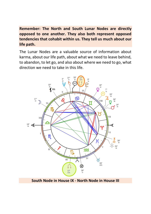**Remember: The North and South Lunar Nodes are directly opposed to one another. They also both represent opposed tendencies that cohabit within us. They tell us much about our life path.**

The Lunar Nodes are a valuable source of information about karma, about our life path, about what we need to leave behind, to abandon, to let go, and also about where we need to go, what direction we need to take in this life.



**South Node in House IX - North Node in House III**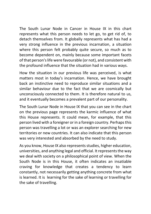The South Lunar Node in Cancer in House IX in this chart represents what this person needs to let go, to get rid of, to detach themselves from. It globally represents what has had a very strong influence in the previous incarnation, a situation where this person felt probably quite secure, so much as to become dependent on, mainly because some important facets of that person's life were favourable (or not), and consistent with the profound influence that the situation had in various ways.

How the situation in our previous life was perceived, is what matters most in today's incarnation. Hence, we have brought back an instinctive need to reproduce similar situations and a similar behaviour due to the fact that we are cosmically but unconsciously connected to them. It is therefore natural to us, and it eventually becomes a prevalent part of our personality.

The South Lunar Node in House IX that you can see in the chart on the previous page represents the karmic influence of what this House represents. It could mean, for example, that this person lived with a foreigner or in a foreign country. Perhaps this person was travelling a lot or was an explorer searching for new territories or new countries. It can also indicate that this person was very interested and absorbed by the need to study.

As you know, House IX also represents studies, higher education, universities, and anything legal and official. It represents the way we deal with society on a philosophical point of view. When the South Node is in this House, it often indicates an insatiable craving for knowledge that creates a tendency to learn constantly, not necessarily getting anything concrete from what is learned. It is learning for the sake of learning or travelling for the sake of travelling.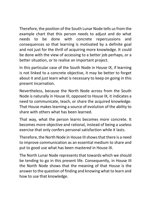Therefore, the position of the South Lunar Node tells us from the example chart that this person needs to adjust and do what needs to be done with concrete repercussions and consequences so that learning is motivated by a definite goal and not just for the thrill of acquiring more knowledge. It could be done with the view of accessing to a better job perhaps, or a better situation, or to realise an important project.

In this particular case of the South Node in House IX, if learning is not linked to a concrete objective, it may be better to forget about it and just learn what is necessary to keep on going in this present incarnation.

Nevertheless, because the North Node across from the South Node is naturally in House III, opposed to House IX, it indicates a need to communicate, teach, or share the acquired knowledge. That House makes learning a source of evolution of the ability to share with others what has been learned.

That way, what the person learns becomes more concrete. It becomes more objective and rational, instead of being a useless exercise that only confers personal satisfaction while it lasts.

Therefore, the North Node in House III shows that there is a need to improve communication as an essential medium to share and put to good use what has been mastered in House IX.

The North Lunar Node represents that towards which we should be tending to go in this present life. Consequently, in House III the North Node shows that the meaning of that House is the answer to the question of finding and knowing what to learn and how to use that knowledge.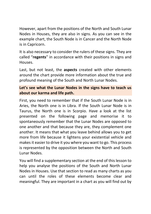However, apart from the positions of the North and South Lunar Nodes in Houses, they are also in signs. As you can see in the example chart, the South Node is in Cancer and the North Node is in Capricorn.

It is also necessary to consider the rulers of these signs. They are called "**regents**" in accordance with their positions in signs and Houses.

Last, but not least, the **aspects** created with other elements around the chart provide more information about the true and profound meaning of the South and North Lunar Nodes.

## **Let's see what the Lunar Nodes in the signs have to teach us about our karma and life path.**

First, you need to remember that if the South Lunar Node is in Aries, the North one is in Libra. If the South Lunar Node is in Taurus, the North one is in Scorpio. Have a look at the list presented on the following page and memorise it to spontaneously remember that the Lunar Nodes are opposed to one another and that because they are, they complement one another. It means that what you leave behind allows you to get more from life because it lightens your existential vehicle and makes it easier to drive it you where you want to go. This process is represented by the opposition between the North and South Lunar Nodes.

You will find a supplementary section at the end of this lesson to help you analyse the positions of the South and North Lunar Nodes in Houses. Use that section to read as many charts as you can until the roles of these elements become clear and meaningful. They are important in a chart as you will find out by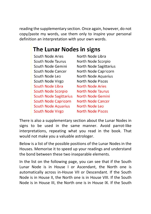reading the supplementary section. Once again, however, do not copy/paste my words, use them only to inspire your personal definition an interpretation with your own words.

# The Lunar Nodes in signs

| South Node Aries              | North Node Libra         |
|-------------------------------|--------------------------|
| South Node Taurus             | North Node Scorpio       |
| South Node Gemini             | North Node Sagittarius   |
| South Node Cancer             | North Node Capricorn     |
| South Node Leo                | North Node Aquarius      |
| South Node Virgo              | North Node Pisces        |
| South Node Libra              | North Node Aries         |
| South Node Scorpio            | <b>North Node Taurus</b> |
| <b>South Node Sagittarius</b> | North Node Gemini        |
| <b>South Node Capricorn</b>   | <b>North Node Cancer</b> |
| <b>South Node Aquarius</b>    | North Node Leo           |
| South Node Virgo              | <b>North Node Pisces</b> |

There is also a supplementary section about the Lunar Nodes in signs to be used in the same manner. Avoid parrot-like interpretations, repeating what you read in the book. That would not make you a valuable astrologer.

Below is a list of the possible positions of the Lunar Nodes in the Houses. Memorise it to speed up your readings and understand the bond between these two inseparable elements.

In the list on the following page, you can see that if the South Lunar Node is in House I or Ascendant, the North one is automatically across in-House VII or Descendant. If the South Node is in House II, the North one is in House VIII. If the South Node is in House III, the North one is in House IX. If the South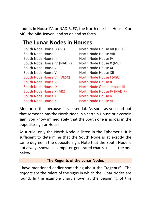node is in House IV, or NADIR, FC, the North one is in House X or MC, the MidHeaven, and so on and so forth.

## **The Lunar Nodes in Houses**

South Node House I (ASC) South Node House II South Node House III South Node House IV (NADIR) South Node House V South Node House VI South Node House VII (DESC) **South Node House VIII** South Node House IX South Node House X (MC) South Node House XI South Node House XII

North Node House VII (DESC) North Node House VIII North Node House IV North Node House X (MC) North Node House XI North Node House XII North Node House I (ASC) North Node House II North Node Gemini House III North Node House IV (NADIR) North Node House V North Node House VI

Memorise this because it is essential. As soon as you find out that someone has the North Node in a certain House or a certain sign, you know immediately that the South one is across in the opposite sign or House.

As a rule, only the North Node is listed in the Ephemeris. It is sufficient to determine that the South Node is at exactly the same degree in the opposite sign. Note that the South Node is not always shown in computer-generated charts such as the one below.

### **The Regents of the Lunar Nodes**

I have mentioned earlier something about the "**regents"**. The *regents* are the rulers of the signs in which the Lunar Nodes are found. In the example chart shown at the beginning of this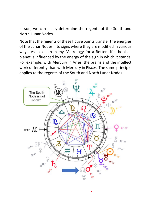lesson, we can easily determine the regents of the South and North Lunar Nodes.

Note that the regents of these fictive points transfer the energies of the Lunar Nodes into signs where they are modified in various ways. As I explain in my "Astrology for a Better Life" book, a planet is influenced by the energy of the sign in which it stands. For example, with Mercury in Aries, the brains and the intellect work differently than with Mercury in Pisces. The same principle applies to the regents of the South and North Lunar Nodes.

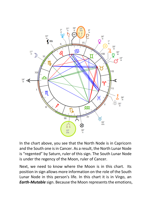

In the chart above, you see that the North Node is in Capricorn and the South one is in Cancer. As a result, the North Lunar Node is "regented" by Saturn, ruler of this sign. The South Lunar Node is under the regency of the Moon, ruler of Cancer.

Next, we need to know where the Moon is in this chart. Its position in sign allows more information on the role of the South Lunar Node in this person's life. In this chart it is in Virgo, an *Earth-Mutable* sign. Because the Moon represents the emotions,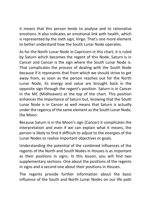it means that this person tends to analyse and to rationalise emotions. It also indicates an emotional link with health, which is represented by the sixth sign, Virgo. That's one more element to better understand how the South Lunar Node operates.

As for the North Lunar Node in Capricorn in this chart, it is ruled by Saturn which becomes the regent of this Node. Saturn is in Cancer and Cancer is the sign where the South Lunar Node is. That complicates the process of dealing with the South Node because if it represents that from which we should strive to get away from, as soon as the person reaches out for the North Lunar Node, its energy and value are brought back in the opposite sign through the regent's position. Saturn is in Cancer in the MC (Midheaven) at the top of the chart. This position enhances the importance of Saturn but, knowing that the South Lunar Node is in Cancer as well means that Saturn is actually under the regency of the same element asthe South Lunar Node, the Moon.

Because Saturn is in the Moon's sign (Cancer) it complicates the interpretation and even if we can explain what it means, the person is likely to find it difficult to adjust to the energies of the Lunar Nodes to realise important objectives or goals.

Understanding the potential of the combined influences of the regents of the North and South Nodes in Houses is as important as their positions in signs. In this lesson, you will find two supplementary sections. One about the positions of the regents in signs and a second one about their positions in Houses.

The regents provide further information about the basic influence of the South and North Lunar Nodes on our life path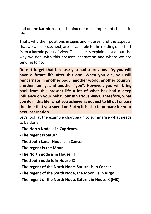and on the karmic reasons behind our most important choices in life.

That's why their positions in signs and Houses, and the aspects, that we will discuss next, are so valuable to the reading of a chart from a karmic point of view. The aspects explain a lot about the way we deal with this present incarnation and where we are tending to go.

**Do not forget that because you had a previous life, you will have a future life after this one. When you die, you will reincarnate in another body, another world, another country, another family, and another "you". However, you will bring back from this present life a lot of what has had a deep influence on your behaviour in various ways. Therefore, what you do in this life, what you achieve, is not just to fill out or pass the time that you spend on Earth; it is also to prepare for your next incarnation**

Let's look at the example chart again to summarise what needs to be done.

- **- The North Node is in Capricorn.**
- **- The regent is Saturn**
- **- The South Lunar Node is in Cancer**
- **- The regent is the Moon**
- **- The North node is in House III**
- **- The South node is in-House IX**
- **- The regent of the North Node, Saturn, is in Cancer**
- **- The regent of the South Node, the Moon, is in Virgo**
- **- The regent of the North Node, Saturn, in House X (MC)**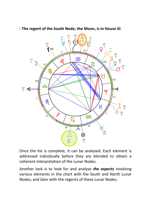

**- The regent of the South Node, the Moon, is in House XI** 

Once the list is complete, it can be analysed. Each element is addressed individually before they are blended to obtain a coherent interpretation of the Lunar Nodes.

Another task is to look for and analyse *the aspects* involving various elements in the chart with the South and North Lunar Nodes, and later with the regents of these Lunar Nodes.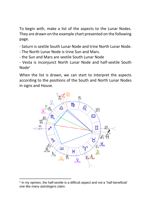To begin with, make a list of the aspects to the Lunar Nodes. They are drawn on the example chart presented on the following page.

- Saturn is sextile South Lunar Node and trine North Lunar Node.
- The North Lunar Node is trine Sun and Mars.
- the Sun and Mars are sextile South Lunar Node
- Vesta is inconjunct North Lunar Node and half-sextile South Node<sup>1</sup>

When the list is drawn, we can start to interpret the aspects according to the positions of the South and North Lunar Nodes in signs and House.



<sup>&</sup>lt;sup>1</sup> In my opinion, the half-sextile is a difficult aspect and not a 'half-beneficial' one like many astrologers claim.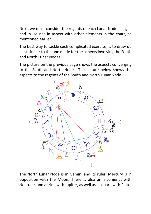Next, we must consider the regents of each Lunar Node in signs and in Houses in aspect with other elements in the chart, as mentioned earlier.

The best way to tackle such complicated exercise, is to draw up a list similar to the one made for the aspects involving the South and North Lunar Nodes.

The picture on the previous page shows the aspects converging to the South and North Nodes. The picture below shows the aspects to the regents of the South and North Lunar Node.



The North Lunar Node is in Gemini and its ruler, Mercury is in opposition with the Moon. There is also an inconjunct with Neptune, and a trine with Jupiter, as well as a square with Pluto.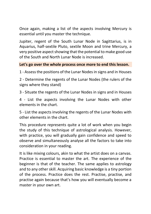Once again, making a list of the aspects involving Mercury is essential until you master the technique.

Jupiter, regent of the South Lunar Node in Sagittarius, is in Aquarius, half-sextile Pluto, sextile Moon and trine Mercury, a very positive aspect showing that the potential to make good use of the South and North Lunar Node is increased.

#### **Let's go over the whole process once more to end this lesson.**

1 - Assess the positions of the Lunar Nodes in signs and in Houses

2 - Determine the regents of the Lunar Nodes (the rulers of the signs where they stand)

3 - Situate the regents of the Lunar Nodes in signs and in Houses

4 - List the aspects involving the Lunar Nodes with other elements in the chart.

5 - List the aspects involving the regents of the Lunar Nodes with other elements in the chart.

This procedure represents quite a lot of work when you begin the study of this technique of astrological analysis. However, with practice, you will gradually gain confidence and speed to observe and simultaneously analyse all the factors to take into consideration in your reading.

It is like mixing colours, akin to what the artist does on a canvas. Practice is essential to master the art. The experience of the beginner is that of the teacher. The same applies to astrology and to any other skill. Acquiring basic knowledge is a tiny portion of the process. Practice does the rest. Practise, practise, and practise again because that's how you will eventually become a master in your own art.